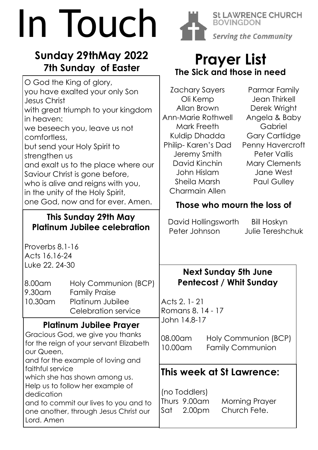# In Touch

# **Sunday 29thMay 2022 7th Sunday of Easter**



**Prayer List**

**BOVINGDON** 

**St LAWRENCE CHURCH** 

**Serving the Community**